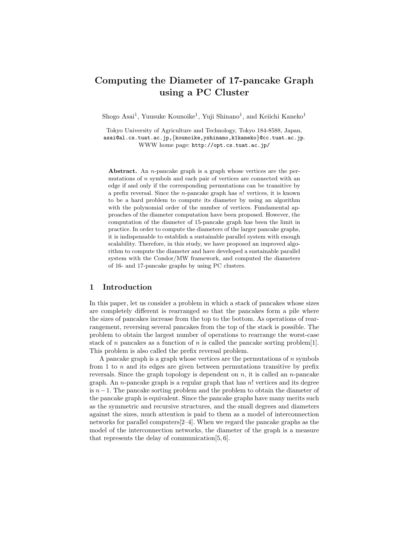# Computing the Diameter of 17-pancake Graph using a PC Cluster

Shogo Asai<sup>1</sup>, Yuusuke Kounoike<sup>1</sup>, Yuji Shinano<sup>1</sup>, and Keiichi Kaneko<sup>1</sup>

Tokyo University of Agriculture and Technology, Tokyo 184-8588, Japan, asai@al.cs.tuat.ac.jp,{kounoike,yshinano,k1kaneko}@cc.tuat.ac.jp. WWW home page: http://opt.cs.tuat.ac.jp/

Abstract. An *n*-pancake graph is a graph whose vertices are the permutations of n symbols and each pair of vertices are connected with an edge if and only if the corresponding permutations can be transitive by a prefix reversal. Since the *n*-pancake graph has  $n!$  vertices, it is known to be a hard problem to compute its diameter by using an algorithm with the polynomial order of the number of vertices. Fundamental approaches of the diameter computation have been proposed. However, the computation of the diameter of 15-pancake graph has been the limit in practice. In order to compute the diameters of the larger pancake graphs, it is indispensable to establish a sustainable parallel system with enough scalability. Therefore, in this study, we have proposed an improved algorithm to compute the diameter and have developed a sustainable parallel system with the Condor/MW framework, and computed the diameters of 16- and 17-pancake graphs by using PC clusters.

# 1 Introduction

In this paper, let us consider a problem in which a stack of pancakes whose sizes are completely different is rearranged so that the pancakes form a pile where the sizes of pancakes increase from the top to the bottom. As operations of rearrangement, reversing several pancakes from the top of the stack is possible. The problem to obtain the largest number of operations to rearrange the worst-case stack of n pancakes as a function of n is called the pancake sorting problem [1]. This problem is also called the prefix reversal problem.

A pancake graph is a graph whose vertices are the permutations of  $n$  symbols from 1 to  $n$  and its edges are given between permutations transitive by prefix reversals. Since the graph topology is dependent on n, it is called an n-pancake graph. An *n*-pancake graph is a regular graph that has  $n!$  vertices and its degree is  $n-1$ . The pancake sorting problem and the problem to obtain the diameter of the pancake graph is equivalent. Since the pancake graphs have many merits such as the symmetric and recursive structures, and the small degrees and diameters against the sizes, much attention is paid to them as a model of interconnection networks for parallel computers[2–4]. When we regard the pancake graphs as the model of the interconnection networks, the diameter of the graph is a measure that represents the delay of communication[5, 6].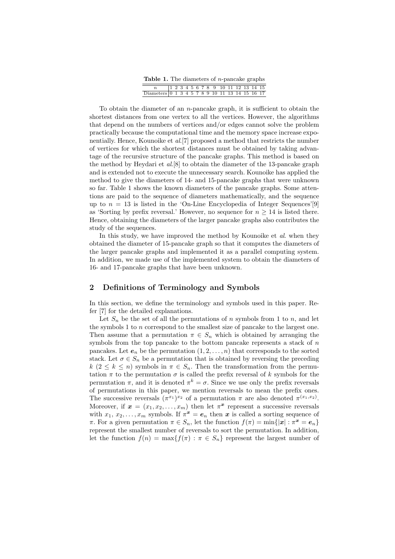| <b>Table 1.</b> The diameters of <i>n</i> -pancake graphs |  |  |  |  |  |  |  |  |  |  |  |                                                                                               |
|-----------------------------------------------------------|--|--|--|--|--|--|--|--|--|--|--|-----------------------------------------------------------------------------------------------|
|                                                           |  |  |  |  |  |  |  |  |  |  |  | $1\;\; 2\;\; 3\;\; 4\;\; 5\;\; 6\;\; 7\;\; 8\;\; 9\;\; 10\;\; 11\;\; 12\;\; 13\;\; 14\;\; 15$ |
| Diameters 0 1 3 4 5 7 8 9 10 11 13 14 15 16 17            |  |  |  |  |  |  |  |  |  |  |  |                                                                                               |

To obtain the diameter of an n-pancake graph, it is sufficient to obtain the shortest distances from one vertex to all the vertices. However, the algorithms that depend on the numbers of vertices and/or edges cannot solve the problem practically because the computational time and the memory space increase exponentially. Hence, Kounoike et al.[7] proposed a method that restricts the number of vertices for which the shortest distances must be obtained by taking advantage of the recursive structure of the pancake graphs. This method is based on the method by Heydari et al.[8] to obtain the diameter of the 13-pancake graph and is extended not to execute the unnecessary search. Kounoike has applied the method to give the diameters of 14- and 15-pancake graphs that were unknown so far. Table 1 shows the known diameters of the pancake graphs. Some attentions are paid to the sequence of diameters mathematically, and the sequence up to  $n = 13$  is listed in the 'On-Line Encyclopedia of Integer Sequences'[9] as 'Sorting by prefix reversal.' However, no sequence for  $n \geq 14$  is listed there. Hence, obtaining the diameters of the larger pancake graphs also contributes the study of the sequences.

In this study, we have improved the method by Kounoike et al. when they obtained the diameter of 15-pancake graph so that it computes the diameters of the larger pancake graphs and implemented it as a parallel computing system. In addition, we made use of the implemented system to obtain the diameters of 16- and 17-pancake graphs that have been unknown.

### 2 Definitions of Terminology and Symbols

In this section, we define the terminology and symbols used in this paper. Refer [7] for the detailed explanations.

Let  $S_n$  be the set of all the permutations of n symbols from 1 to n, and let the symbols 1 to n correspond to the smallest size of pancake to the largest one. Then assume that a permutation  $\pi \in S_n$  which is obtained by arranging the symbols from the top pancake to the bottom pancake represents a stack of  $n$ pancakes. Let  $e_n$  be the permutation  $(1, 2, \ldots, n)$  that corresponds to the sorted stack. Let  $\sigma \in S_n$  be a permutation that is obtained by reversing the preceding  $k (2 \leq k \leq n)$  symbols in  $\pi \in S_n$ . Then the transformation from the permutation  $\pi$  to the permutation  $\sigma$  is called the prefix reversal of k symbols for the permutation  $\pi$ , and it is denoted  $\pi^k = \sigma$ . Since we use only the prefix reversals of permutations in this paper, we mention reversals to mean the prefix ones. The successive reversals  $(\pi^{x_1})^{x_2}$  of a permutation  $\pi$  are also denoted  $\pi^{(x_1,x_2)}$ . Moreover, if  $\mathbf{x} = (x_1, x_2, \dots, x_m)$  then let  $\pi^{\mathbf{x}}$  represent a successive reversals with  $x_1, x_2, \ldots, x_m$  symbols. If  $\pi^x = e_n$  then x is called a sorting sequence of π. For a given permutation  $\pi \in S_n$ , let the function  $f(\pi) = \min\{|\mathbf{x}| : \pi^{\mathbf{x}} = \mathbf{e}_n\}$ represent the smallest number of reversals to sort the permutation. In addition, let the function  $f(n) = \max\{f(\pi) : \pi \in S_n\}$  represent the largest number of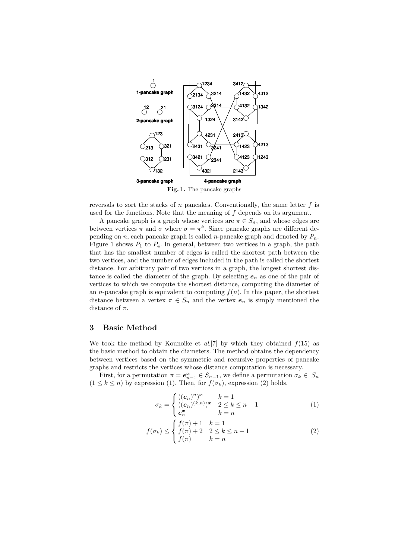

reversals to sort the stacks of n pancakes. Conventionally, the same letter  $f$  is used for the functions. Note that the meaning of  $f$  depends on its argument.

A pancake graph is a graph whose vertices are  $\pi \in S_n$ , and whose edges are between vertices  $\pi$  and  $\sigma$  where  $\sigma = \pi^k$ . Since pancake graphs are different depending on n, each pancake graph is called n-pancake graph and denoted by  $P_n$ . Figure 1 shows  $P_1$  to  $P_4$ . In general, between two vertices in a graph, the path that has the smallest number of edges is called the shortest path between the two vertices, and the number of edges included in the path is called the shortest distance. For arbitrary pair of two vertices in a graph, the longest shortest distance is called the diameter of the graph. By selecting  $e_n$  as one of the pair of vertices to which we compute the shortest distance, computing the diameter of an *n*-pancake graph is equivalent to computing  $f(n)$ . In this paper, the shortest distance between a vertex  $\pi \in S_n$  and the vertex  $e_n$  is simply mentioned the distance of  $\pi$ .

### 3 Basic Method

We took the method by Kounoike et  $al.7$  by which they obtained  $f(15)$  as the basic method to obtain the diameters. The method obtains the dependency between vertices based on the symmetric and recursive properties of pancake graphs and restricts the vertices whose distance computation is necessary.

First, for a permutation  $\pi = e_{n-1}^x \in S_{n-1}$ , we define a permutation  $\sigma_k \in S_n$  $(1 \leq k \leq n)$  by expression (1). Then, for  $f(\sigma_k)$ , expression (2) holds.

$$
\sigma_k = \begin{cases}\n((e_n)^n)^x & k = 1 \\
((e_n)^{(k,n)})^x & 2 \le k \le n-1 \\
e_n^x & k = n\n\end{cases}
$$
\n(1)

$$
f(\sigma_k) \le \begin{cases} f(\pi) + 1 & k = 1 \\ f(\pi) + 2 & 2 \le k \le n - 1 \\ f(\pi) & k = n \end{cases}
$$
 (2)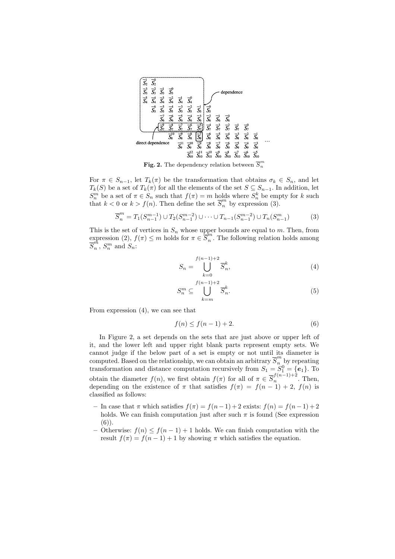

**Fig. 2.** The dependency relation between  $\overline{S}_n^m$ 

For  $\pi \in S_{n-1}$ , let  $T_k(\pi)$  be the transformation that obtains  $\sigma_k \in S_n$ , and let  $T_k(S)$  be a set of  $T_k(\pi)$  for all the elements of the set  $S \subseteq S_{n-1}$ . In addition, let  $S_n^m$  be a set of  $\pi \in S_n$  such that  $f(\pi) = m$  holds where  $S_n^k$  be empty for k such that  $k < 0$  or  $k > f(n)$ . Then define the set  $\overline{S}_n^m$  by expression (3).

$$
\overline{S}_{n}^{m} = T_{1}(S_{n-1}^{m-1}) \cup T_{2}(S_{n-1}^{m-2}) \cup \dots \cup T_{n-1}(S_{n-1}^{m-2}) \cup T_{n}(S_{n-1}^{m})
$$
(3)

This is the set of vertices in  $S_n$  whose upper bounds are equal to m. Then, from expression (2),  $f(\pi) \leq m$  holds for  $\pi \in \overline{S}_n^m$ . The following relation holds among  $\overline{S}_n^m$ ,  $S_n^m$  and  $S_n$ :

$$
S_n = \bigcup_{k=0}^{f(n-1)+2} \overline{S}_n^k,
$$
\n(4)

$$
S_n^m \subseteq \bigcup_{k=m}^{f(n-1)+2} \overline{S}_n^k. \tag{5}
$$

From expression (4), we can see that

$$
f(n) \le f(n-1) + 2. \tag{6}
$$

In Figure 2, a set depends on the sets that are just above or upper left of it, and the lower left and upper right blank parts represent empty sets. We cannot judge if the below part of a set is empty or not until its diameter is computed. Based on the relationship, we can obtain an arbitrary  $\overline{S}_n^m$  by repeating transformation and distance computation recursively from  $S_1 = S_1^0 = \{e_1\}$ . To obtain the diameter  $f(n)$ , we first obtain  $f(\pi)$  for all of  $\pi \in \overline{S}_n^{f(n-1)+2}$  $\int_{n}^{\frac{f}{(n-1)+2}}$ . Then, depending on the existence of  $\pi$  that satisfies  $f(\pi) = f(n-1) + 2$ ,  $f(n)$  is classified as follows:

- In case that  $\pi$  which satisfies  $f(\pi) = f(n-1) + 2$  exists:  $f(n) = f(n-1) + 2$ holds. We can finish computation just after such  $\pi$  is found (See expression (6)).
- Otherwise:  $f(n)$  ≤  $f(n-1) + 1$  holds. We can finish computation with the result  $f(\pi) = f(n-1) + 1$  by showing  $\pi$  which satisfies the equation.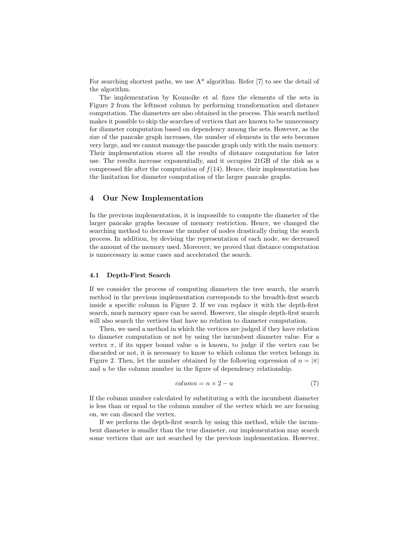For searching shortest paths, we use  $A^*$  algorithm. Refer [7] to see the detail of the algorithm.

The implementation by Kounoike et al. fixes the elements of the sets in Figure 2 from the leftmost column by performing transformation and distance computation. The diameters are also obtained in the process. This search method makes it possible to skip the searches of vertices that are known to be unnecessary for diameter computation based on dependency among the sets. However, as the size of the pancake graph increases, the number of elements in the sets becomes very large, and we cannot manage the pancake graph only with the main memory. Their implementation stores all the results of distance computation for later use. The results increase exponentially, and it occupies 21GB of the disk as a compressed file after the computation of  $f(14)$ . Hence, their implementation has the limitation for diameter computation of the larger pancake graphs.

### 4 Our New Implementation

In the previous implementation, it is impossible to compute the diameter of the larger pancake graphs because of memory restriction. Hence, we changed the searching method to decrease the number of nodes drastically during the search process. In addition, by devising the representation of each node, we decreased the amount of the memory used. Moreover, we proved that distance computation is unnecessary in some cases and accelerated the search.

#### 4.1 Depth-First Search

If we consider the process of computing diameters the tree search, the search method in the previous implementation corresponds to the breadth-first search inside a specific column in Figure 2. If we can replace it with the depth-first search, much memory space can be saved. However, the simple depth-first search will also search the vertices that have no relation to diameter computation.

Then, we used a method in which the vertices are judged if they have relation to diameter computation or not by using the incumbent diameter value. For a vertex  $\pi$ , if its upper bound value u is known, to judge if the vertex can be discarded or not, it is necessary to know to which column the vertex belongs in Figure 2. Then, let the number obtained by the following expression of  $n = |\pi|$ and u be the column number in the figure of dependency relationship.

$$
column = n \times 2 - u \tag{7}
$$

If the column number calculated by substituting  $u$  with the incumbent diameter is less than or equal to the column number of the vertex which we are focusing on, we can discard the vertex.

If we perform the depth-first search by using this method, while the incumbent diameter is smaller than the true diameter, our implementation may search some vertices that are not searched by the previous implementation. However,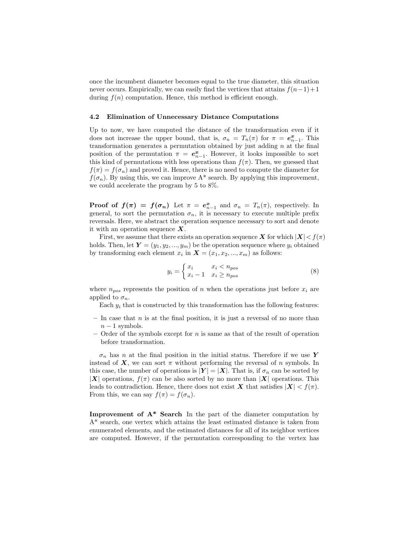once the incumbent diameter becomes equal to the true diameter, this situation never occurs. Empirically, we can easily find the vertices that attains  $f(n-1)+1$ during  $f(n)$  computation. Hence, this method is efficient enough.

#### 4.2 Elimination of Unnecessary Distance Computations

Up to now, we have computed the distance of the transformation even if it does not increase the upper bound, that is,  $\sigma_n = T_n(\pi)$  for  $\pi = e_{n-1}^{\mathbf{x}}$ . This transformation generates a permutation obtained by just adding  $n$  at the final position of the permutation  $\pi = e_{n-1}^x$ . However, it looks impossible to sort this kind of permutations with less operations than  $f(\pi)$ . Then, we guessed that  $f(\pi) = f(\sigma_n)$  and proved it. Hence, there is no need to compute the diameter for  $f(\sigma_n)$ . By using this, we can improve  $A^*$  search. By applying this improvement, we could accelerate the program by 5 to 8%.

**Proof of**  $f(\pi) = f(\sigma_n)$  Let  $\pi = e_{n-1}^x$  and  $\sigma_n = T_n(\pi)$ , respectively. In general, to sort the permutation  $\sigma_n$ , it is necessary to execute multiple prefix reversals. Here, we abstract the operation sequence necessary to sort and denote it with an operation sequence  $X$ .

First, we assume that there exists an operation sequence  $\boldsymbol{X}$  for which  $|\boldsymbol{X}| < f(\pi)$ holds. Then, let  $\boldsymbol{Y} = (y_1, y_2, ..., y_m)$  be the operation sequence where  $y_i$  obtained by transforming each element  $x_i$  in  $\mathbf{X} = (x_1, x_2, ..., x_m)$  as follows:

$$
y_i = \begin{cases} x_i & x_i < n_{pos} \\ x_i - 1 & x_i \ge n_{pos} \end{cases}
$$
 (8)

where  $n_{pos}$  represents the position of n when the operations just before  $x_i$  are applied to  $\sigma_n$ .

Each  $y_i$  that is constructed by this transformation has the following features:

- $-$  In case that *n* is at the final position, it is just a reversal of no more than  $n-1$  symbols.
- $-$  Order of the symbols except for n is same as that of the result of operation before transformation.

 $\sigma_n$  has n at the final position in the initial status. Therefore if we use Y instead of X, we can sort  $\pi$  without performing the reversal of n symbols. In this case, the number of operations is  $|Y| = |X|$ . That is, if  $\sigma_n$  can be sorted by |X| operations,  $f(\pi)$  can be also sorted by no more than |X| operations. This leads to contradiction. Hence, there does not exist X that satisfies  $|X| < f(\pi)$ . From this, we can say  $f(\pi) = f(\sigma_n)$ .

**Improvement of**  $A^*$  **Search** In the part of the diameter computation by A\* search, one vertex which attains the least estimated distance is taken from enumerated elements, and the estimated distances for all of its neighbor vertices are computed. However, if the permutation corresponding to the vertex has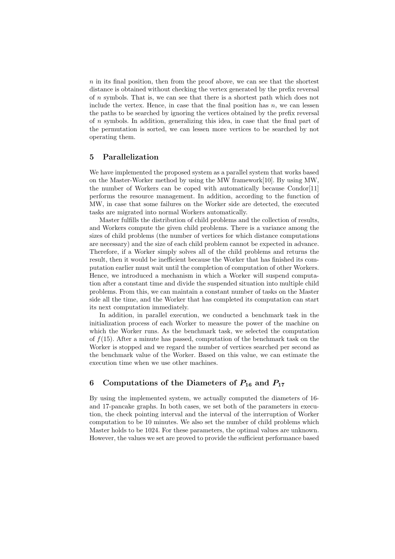$n$  in its final position, then from the proof above, we can see that the shortest distance is obtained without checking the vertex generated by the prefix reversal of n symbols. That is, we can see that there is a shortest path which does not include the vertex. Hence, in case that the final position has  $n$ , we can lessen the paths to be searched by ignoring the vertices obtained by the prefix reversal of n symbols. In addition, generalizing this idea, in case that the final part of the permutation is sorted, we can lessen more vertices to be searched by not operating them.

# 5 Parallelization

We have implemented the proposed system as a parallel system that works based on the Master-Worker method by using the MW framework[10]. By using MW, the number of Workers can be coped with automatically because Condor[11] performs the resource management. In addition, according to the function of MW, in case that some failures on the Worker side are detected, the executed tasks are migrated into normal Workers automatically.

Master fulfills the distribution of child problems and the collection of results, and Workers compute the given child problems. There is a variance among the sizes of child problems (the number of vertices for which distance computations are necessary) and the size of each child problem cannot be expected in advance. Therefore, if a Worker simply solves all of the child problems and returns the result, then it would be inefficient because the Worker that has finished its computation earlier must wait until the completion of computation of other Workers. Hence, we introduced a mechanism in which a Worker will suspend computation after a constant time and divide the suspended situation into multiple child problems. From this, we can maintain a constant number of tasks on the Master side all the time, and the Worker that has completed its computation can start its next computation immediately.

In addition, in parallel execution, we conducted a benchmark task in the initialization process of each Worker to measure the power of the machine on which the Worker runs. As the benchmark task, we selected the computation of  $f(15)$ . After a minute has passed, computation of the benchmark task on the Worker is stopped and we regard the number of vertices searched per second as the benchmark value of the Worker. Based on this value, we can estimate the execution time when we use other machines.

# 6 Computations of the Diameters of  $P_{16}$  and  $P_{17}$

By using the implemented system, we actually computed the diameters of 16 and 17-pancake graphs. In both cases, we set both of the parameters in execution, the check pointing interval and the interval of the interruption of Worker computation to be 10 minutes. We also set the number of child problems which Master holds to be 1024. For these parameters, the optimal values are unknown. However, the values we set are proved to provide the sufficient performance based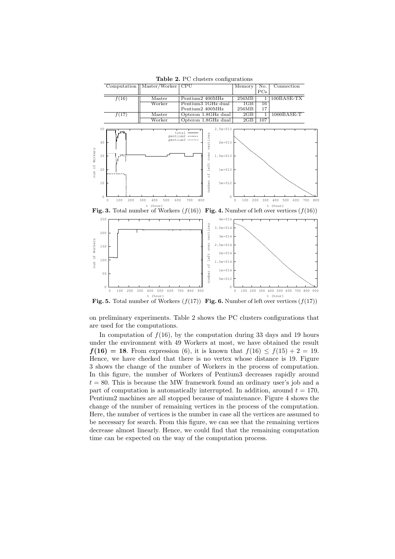

Table 2. PC clusters configurations

Fig. 3. Total number of Workers  $(f(16))$  Fig. 4. Number of left over vertices  $(f(16))$ 



**Fig. 5.** Total number of Workers  $(f(17))$  **Fig. 6.** Number of left over vertices  $(f(17))$ 

on preliminary experiments. Table 2 shows the PC clusters configurations that are used for the computations.

In computation of  $f(16)$ , by the computation during 33 days and 19 hours under the environment with 49 Workers at most, we have obtained the result  $f(16) = 18$ . From expression (6), it is known that  $f(16) \le f(15) + 2 = 19$ . Hence, we have checked that there is no vertex whose distance is 19. Figure 3 shows the change of the number of Workers in the process of computation. In this figure, the number of Workers of Pentium3 decreases rapidly around  $t = 80$ . This is because the MW framework found an ordinary user's job and a part of computation is automatically interrupted. In addition, around  $t = 170$ , Pentium2 machines are all stopped because of maintenance. Figure 4 shows the change of the number of remaining vertices in the process of the computation. Here, the number of vertices is the number in case all the vertices are assumed to be necessary for search. From this figure, we can see that the remaining vertices decrease almost linearly. Hence, we could find that the remaining computation time can be expected on the way of the computation process.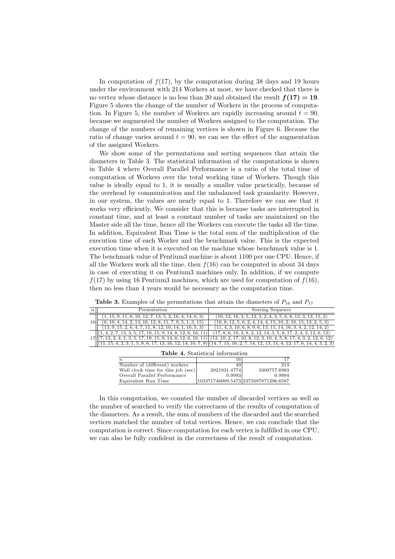In computation of  $f(17)$ , by the computation during 38 days and 19 hours under the environment with 214 Workers at most, we have checked that there is no vertex whose distance is no less than 20 and obtained the result  $f(17) = 19$ . Figure 5 shows the change of the number of Workers in the process of computation. In Figure 5, the number of Workers are rapidly increasing around  $t = 90$ , because we augmented the number of Workers assigned to the computation. The change of the numbers of remaining vertices is shown in Figure 6. Because the ratio of change varies around  $t = 90$ , we can see the effect of the augmentation of the assigned Workers.

We show some of the permutations and sorting sequences that attain the diameters in Table 3. The statistical information of the computations is shown in Table 4 where Overall Parallel Performance is a ratio of the total time of computation of Workers over the total working time of Workers. Though this value is ideally equal to 1, it is usually a smaller value practically, because of the overhead by communication and the unbalanced task granularity. However, in our system, the values are nearly equal to 1. Therefore we can see that it works very efficiently. We consider that this is because tasks are interrupted in constant time, and at least a constant number of tasks are maintained on the Master side all the time, hence all the Workers can execute the tasks all the time. In addition, Equivalent Run Time is the total sum of the multiplication of the execution time of each Worker and the benchmark value. This is the expected execution time when it is executed on the machine whose benchmark value is 1. The benchmark value of Pentium3 machine is about 1100 per one CPU. Hence, if all the Workers work all the time, then  $f(16)$  can be computed in about 34 days in case of executing it on Pentium3 machines only. In addition, if we compute  $f(17)$  by using 16 Pentium3 machines, which are used for computation of  $f(16)$ , then no less than 4 years would be necessary as the computation time.

|    | Permutation                                                                 | Sorting Sequence                                                                                                                    |  |  |  |  |
|----|-----------------------------------------------------------------------------|-------------------------------------------------------------------------------------------------------------------------------------|--|--|--|--|
| 16 | $(1, 15, 9, 11, 8, 10, 12, 7, 13, 5, 2, 16, 4, 14, 6, 3)$                   | $(10, 12, 16, 3, 5, 12, 3, 2, 4, 3, 5, 6, 8, 12, 3, 13, 15, 2)$                                                                     |  |  |  |  |
|    | $(6, 10, 4, 14, 2, 13, 16, 12, 8, 11, 7, 9, 5, 1, 3, 15)$                   | $(10, 8, 12, 5, 6, 2, 4, 14, 4, 15, 10, 2, 16, 15, 13, 2, 5, 3)$                                                                    |  |  |  |  |
|    | $(13, 9, 15, 2, 6, 4, 7, 11, 8, 12, 10, 14, 1, 16, 5, 3)$                   | $(11, 4, 3, 10, 6, 8, 9, 6, 13, 11, 14, 16, 3, 4, 2, 12, 14, 2)$                                                                    |  |  |  |  |
|    | $[(1, 4, 2, 7, 13, 3, 5, 17, 10, 15, 9, 14, 8, 12, 6, 16, 11)]$             | $(17, 8, 6, 10, 3, 8, 2, 12, 14, 3, 5, 8, 17, 2, 4, 3, 12, 6, 12)$                                                                  |  |  |  |  |
|    | $\langle 1, 13, 2, 4, 1, 3, 5, 17, 10, 15, 9, 14, 8, 12, 6, 16, 11 \rangle$ | $(12, 10, 2, 17, 10, 8, 12, 3, 10, 4, 5, 8, 17, 4, 3, 2, 12, 6, 12)$                                                                |  |  |  |  |
|    |                                                                             | $(11, 15, 4, 2, 3, 1, 5, 8, 6, 17, 13, 16, 12, 14, 10, 7, 9)$ $(14, 7, 15, 16, 2, 7, 14, 12, 13, 11, 4, 12, 17, 6, 14, 4, 3, 2, 3)$ |  |  |  |  |

Table 3. Examples of the permutations that attain the diameters of  $P_{16}$  and  $P_{17}$ 

| <b>Table 4.</b> Statistical information |              |                                      |  |  |  |  |  |
|-----------------------------------------|--------------|--------------------------------------|--|--|--|--|--|
| $\boldsymbol{n}$                        | 16           |                                      |  |  |  |  |  |
| Number of (different) workers           | 49           | 214                                  |  |  |  |  |  |
| Wall clock time for this job (sec)      | 2921931.4774 | 3309757.6983                         |  |  |  |  |  |
| Overall Parallel Performance            | 0.9993       | 0.9994                               |  |  |  |  |  |
| Equivalent Run Time                     |              | 103371746009.5473 2375697871296.6587 |  |  |  |  |  |

In this computation, we counted the number of discarded vertices as well as the number of searched to verify the correctness of the results of computation of the diameters. As a result, the sum of numbers of the discarded and the searched vertices matched the number of total vertices. Hence, we can conclude that the computation is correct. Since computation for each vertex is fulfilled in one CPU, we can also be fully confident in the correctness of the result of computation.